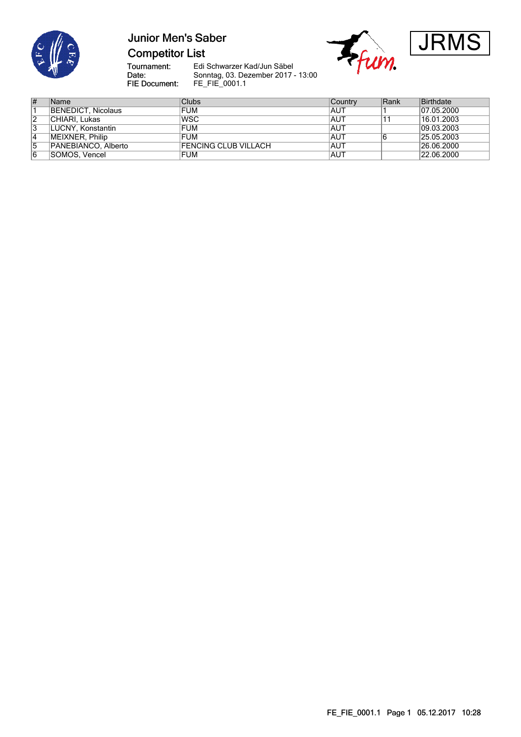

## **Junior Men's Saber Competitor List**





Tournament:<br>Date:

Edi Schwarzer Kad/Jun Säbel Sonntag, 03. Dezember 2017 - 13:00 FIE Document: FE\_FIE\_0001.1

| ∦  | Name                | Clubs                       | <b>Country</b> | Rank | Birthdate  |
|----|---------------------|-----------------------------|----------------|------|------------|
|    | BENEDICT, Nicolaus  | <b>FUM</b>                  | IAUT           |      | 07.05.2000 |
| 12 | CHIARI. Lukas       | <b>WSC</b>                  | AUT            |      | 16.01.2003 |
| د  | LUCNY, Konstantin   | <b>FUM</b>                  | AUT            |      | 09.03.2003 |
| 4  | MEIXNER, Philip     | <b>FUM</b>                  | AUT            |      | 25.05.2003 |
| 5  | PANEBIANCO, Alberto | <b>FENCING CLUB VILLACH</b> | <b>AUT</b>     |      | 26.06.2000 |
| 16 | SOMOS. Vencel       | <b>FUM</b>                  | <b>AUT</b>     |      | 22.06.2000 |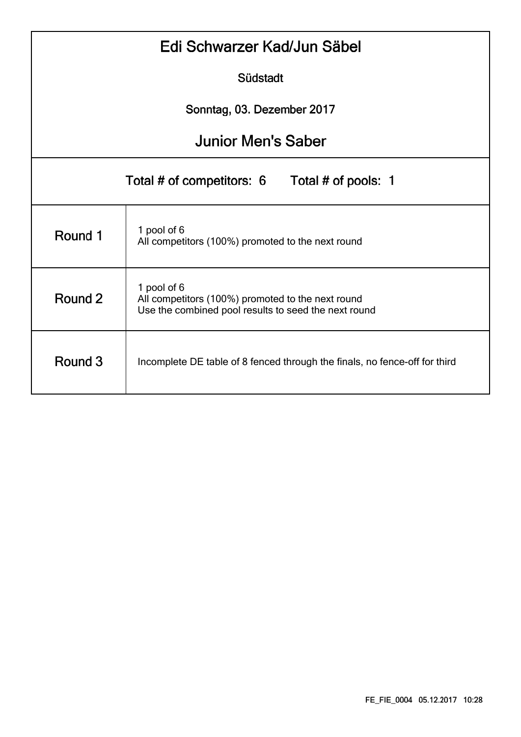| Edi Schwarzer Kad/Jun Säbel                      |                                                                                                                          |  |  |  |  |  |  |  |  |
|--------------------------------------------------|--------------------------------------------------------------------------------------------------------------------------|--|--|--|--|--|--|--|--|
| Südstadt                                         |                                                                                                                          |  |  |  |  |  |  |  |  |
| Sonntag, 03. Dezember 2017                       |                                                                                                                          |  |  |  |  |  |  |  |  |
|                                                  | <b>Junior Men's Saber</b>                                                                                                |  |  |  |  |  |  |  |  |
| Total # of competitors: 6<br>Total # of pools: 1 |                                                                                                                          |  |  |  |  |  |  |  |  |
| Round 1                                          | 1 pool of 6<br>All competitors (100%) promoted to the next round                                                         |  |  |  |  |  |  |  |  |
| Round 2                                          | 1 pool of 6<br>All competitors (100%) promoted to the next round<br>Use the combined pool results to seed the next round |  |  |  |  |  |  |  |  |
| Round 3                                          | Incomplete DE table of 8 fenced through the finals, no fence-off for third                                               |  |  |  |  |  |  |  |  |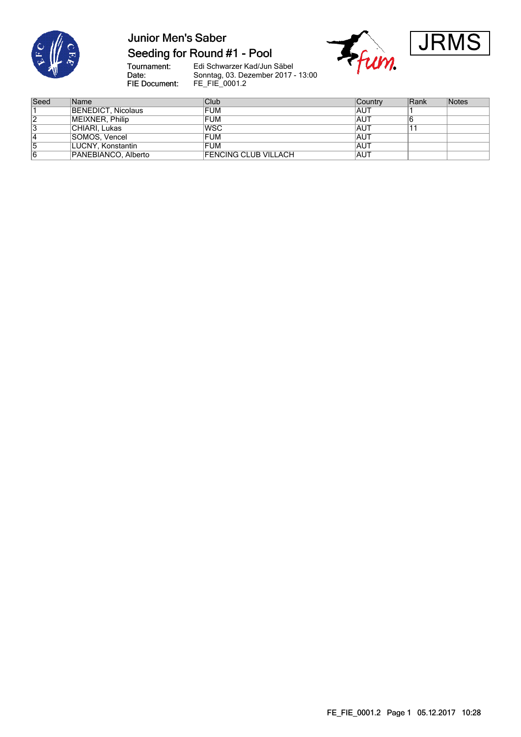

## **Junior Men's Saber** Seeding for Round #1 - Pool

Frum.



Tournament:<br>Date: FIE Document:

| Seed | <b>Name</b>         | Club                        | <b>Country</b> | Rank | Notes |
|------|---------------------|-----------------------------|----------------|------|-------|
|      | BENEDICT, Nicolaus  | <b>FUM</b>                  | <b>AUT</b>     |      |       |
|      | MEIXNER, Philip     | <b>FUM</b>                  | <b>AUT</b>     |      |       |
|      | CHIARI, Lukas       | <b>WSC</b>                  | <b>AUT</b>     |      |       |
|      | SOMOS, Vencel       | <b>FUM</b>                  | <b>AUT</b>     |      |       |
|      | LUCNY, Konstantin   | FUM                         | <b>AUT</b>     |      |       |
| 6    | PANEBIANCO, Alberto | <b>FENCING CLUB VILLACH</b> | <b>IAUT</b>    |      |       |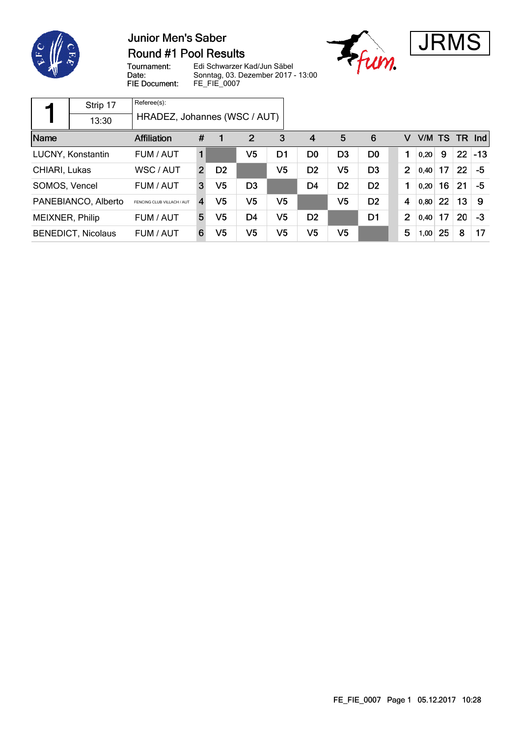

### **Junior Men's Saber Round #1 Pool Results**





Tournament: Date: FIE Document:

|                            | Strip 17            | Referee(s):                  |                         |                |                |                |                |                |                |                |      |    |          |        |
|----------------------------|---------------------|------------------------------|-------------------------|----------------|----------------|----------------|----------------|----------------|----------------|----------------|------|----|----------|--------|
|                            | 13:30               | HRADEZ, Johannes (WSC / AUT) |                         |                |                |                |                |                |                |                |      |    |          |        |
| Name<br><b>Affiliation</b> |                     | #                            |                         | $\overline{2}$ | 3              | 4              | 5              | 6              | V              | V/M TS         |      |    | $TR$ Ind |        |
|                            | LUCNY, Konstantin   | FUM / AUT                    |                         |                | V <sub>5</sub> | D1             | D <sub>0</sub> | D <sub>3</sub> | D <sub>0</sub> |                | 0.20 | 9  | 22       | $ -13$ |
| WSC / AUT<br>CHIARI, Lukas |                     |                              | $\overline{2}$          | D <sub>2</sub> |                | V5             | D <sub>2</sub> | V <sub>5</sub> | D <sub>3</sub> | $\overline{2}$ | 0,40 | 17 | 22       | -5     |
| SOMOS, Vencel              |                     | FUM / AUT                    | 3                       | V5             | D <sub>3</sub> |                | D <sub>4</sub> | D <sub>2</sub> | D <sub>2</sub> | 1              | 0,20 | 16 | 21       | -5     |
|                            | PANEBIANCO, Alberto | FENCING CLUB VILLACH / AUT   | $\overline{\mathbf{4}}$ | V5             | V5             | V <sub>5</sub> |                | V5             | D <sub>2</sub> | 4              | 0,80 | 22 | 13       | 9      |
| MEIXNER, Philip            |                     | FUM / AUT                    | 5                       | V5             | D <sub>4</sub> | V5             | D <sub>2</sub> |                | D <sub>1</sub> | $\overline{2}$ | 0,40 | 17 | 20       | -3     |
| <b>BENEDICT, Nicolaus</b>  |                     | FUM / AUT                    | 6                       | V5             | V <sub>5</sub> | V5             | V5             | V <sub>5</sub> |                | 5              | 1,00 | 25 | 8        | 17     |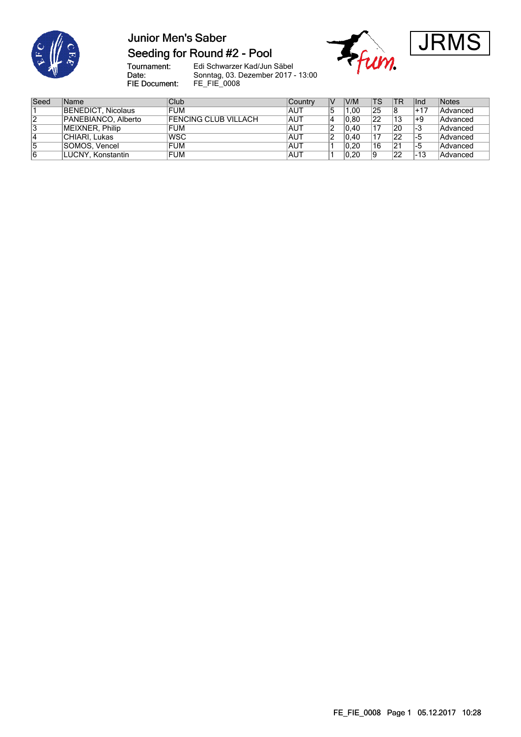

## **Junior Men's Saber** Seeding for Round #2 - Pool





Tournament:<br>Date: FIE Document:

| Seed | Name                | <b>Club</b>                 | Country    | $\vee$ | V/M  | <b>TS</b> | <b>TR</b> | Ind   | Notes    |
|------|---------------------|-----------------------------|------------|--------|------|-----------|-----------|-------|----------|
|      | BENEDICT, Nicolaus  | <b>FUM</b>                  | <b>AUT</b> |        | 1.00 | '25       |           | $+17$ | Advanced |
| 12   | PANEBIANCO, Alberto | <b>FENCING CLUB VILLACH</b> | <b>AUT</b> |        | 0.80 | 22        | 13        | ⊩9    | Advanced |
| 13   | MEIXNER, Philip     | <b>FUM</b>                  | IAUT       |        | 0.40 | 17        | 20        | 1-3   | Advanced |
| 14   | CHIARI, Lukas       | <b>WSC</b>                  | <b>AUT</b> |        | 0.40 | 17        | 22        |       | Advanced |
| 5    | SOMOS, Vencel       | <b>FUM</b>                  | IAUT       |        | 0.20 | 16        | 21        | ל−ו   | Advanced |
| 16   | LUCNY, Konstantin   | <b>FUM</b>                  | IAUT       |        | 0.20 | 19        | 22        | -13   | Advanced |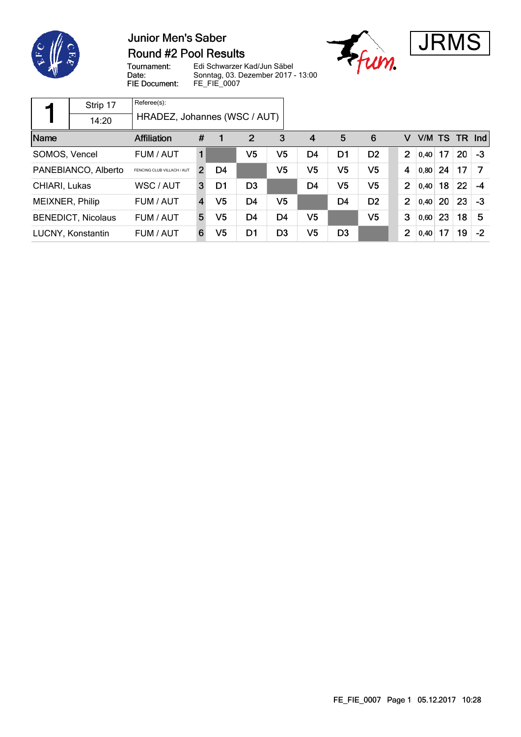

### **Junior Men's Saber Round #2 Pool Results**





Tournament: Date: FIE Document:

|                                                   | Strip 17          | Referee(s):                  |                         |    |                |                |                |                |                |                |        |    |           |      |
|---------------------------------------------------|-------------------|------------------------------|-------------------------|----|----------------|----------------|----------------|----------------|----------------|----------------|--------|----|-----------|------|
|                                                   | 14:20             | HRADEZ, Johannes (WSC / AUT) |                         |    |                |                |                |                |                |                |        |    |           |      |
| Name<br><b>Affiliation</b>                        |                   |                              | #                       |    | $\overline{2}$ | 3              | $\overline{4}$ | 5              | 6              | v              | V/M TS |    | <b>TR</b> | Ind  |
| SOMOS, Vencel                                     |                   | FUM / AUT                    | 1                       |    | V5             | V5             | D <sub>4</sub> | D <sub>1</sub> | D <sub>2</sub> | $\overline{2}$ | 0.40   | 17 | 20        | $-3$ |
| PANEBIANCO, Alberto<br>FENCING CLUB VILLACH / AUT |                   |                              | $\overline{2}$          | D4 |                | V5             | V <sub>5</sub> | V <sub>5</sub> | V <sub>5</sub> | 4              | 0,80   | 24 | 17        |      |
| CHIARI, Lukas                                     |                   | WSC / AUT                    | 3                       | D1 | D <sub>3</sub> |                | D <sub>4</sub> | V <sub>5</sub> | V <sub>5</sub> | $\overline{2}$ | 0,40   | 18 | 22        | $-4$ |
| MEIXNER, Philip                                   |                   | FUM / AUT                    | $\overline{\mathbf{4}}$ | V5 | D <sub>4</sub> | V5             |                | D <sub>4</sub> | D <sub>2</sub> | 2              | 0,40   | 20 | 23        | $-3$ |
| <b>BENEDICT, Nicolaus</b>                         |                   | FUM / AUT                    | 5                       | V5 | D4             | D <sub>4</sub> | V <sub>5</sub> |                | V <sub>5</sub> | 3              | 0,60   | 23 | 18        | 5    |
|                                                   | LUCNY, Konstantin | FUM / AUT                    | 6                       | V5 | D1             | D <sub>3</sub> | V5             | D <sub>3</sub> |                | 2              | 0,40   | 17 | 19        | $-2$ |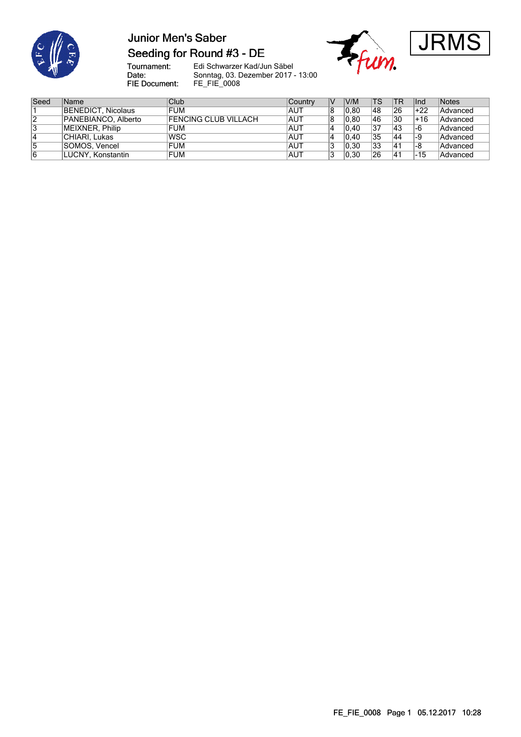

## **Junior Men's Saber** Seeding for Round #3 - DE





Tournament:<br>Date: FIE Document:

| Seed | <b>Name</b>         | Club                 | Country | V/M  | <b>TS</b> | <b>TR</b> | lInd | Notes    |
|------|---------------------|----------------------|---------|------|-----------|-----------|------|----------|
|      | BENEDICT, Nicolaus  | <b>FUM</b>           | AUT     | 0.80 | 48        | 26        | +22  | Advanced |
| 2    | PANEBIANCO, Alberto | FENCING CLUB VILLACH | IAUT    | 0.80 | 46        | 30        | +16  | Advanced |
| 3    | MEIXNER, Philip     | <b>FUM</b>           | AUT     | 0.40 | 37        | 43        | -6   | Advanced |
| 4    | CHIARI, Lukas       | <b>IWSC</b>          | AUT     | 0.40 | 35        | 44        | 9-،  | Advanced |
| 5    | SOMOS, Vencel       | <b>FUM</b>           | AUT     | 0.30 | 33        | 41        | 6-ا  | Advanced |
| 6    | LUCNY, Konstantin   | <b>FUM</b>           | AUT     | 0.30 | 26        | $ 4^+$    | -15  | Advanced |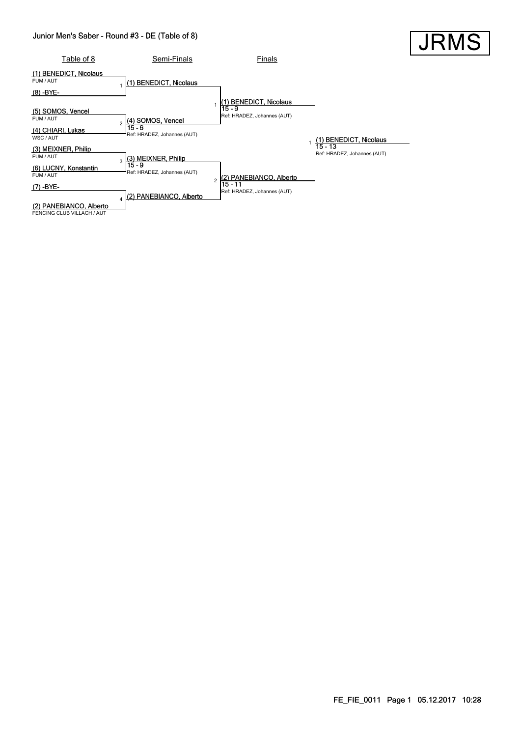#### Junior Men's Saber - Round #3 - DE (Table of 8)



**JRI**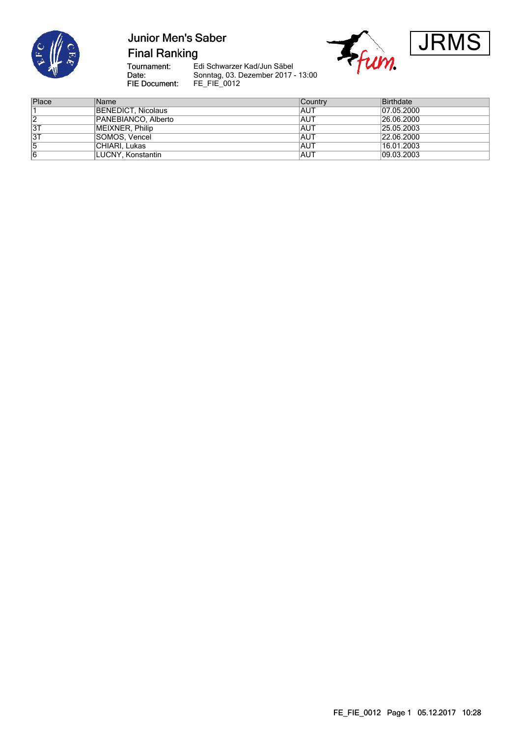

# **Junior Men's Saber**

**Final Ranking** 

Tournament:<br>Date: FIE Document:



| Place | Name                | Country | Birthdate  |
|-------|---------------------|---------|------------|
|       | BENEDICT, Nicolaus  | IAUT    | 07.05.2000 |
| 2     | PANEBIANCO, Alberto | AUT     | 26.06.2000 |
| 3T    | MEIXNER, Philip     | AUT     | 25.05.2003 |
| 3T    | SOMOS, Vencel       | AUT     | 22.06.2000 |
| 5     | CHIARI, Lukas       | AUT     | 16.01.2003 |
| 6     | LUCNY, Konstantin   | AUT     | 09.03.2003 |